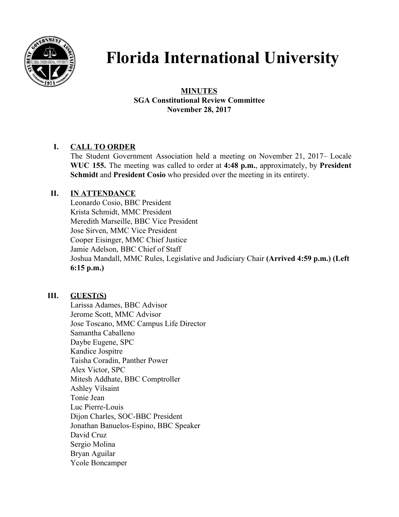

# **Florida International University**

#### **MINUTES SGA Constitutional Review Committee November 28, 2017**

#### **I. CALL TO ORDER**

The Student Government Association held a meeting on November 21, 2017– Locale **WUC 155.** The meeting was called to order at **4:48 p.m.**, approximately, by **President Schmidt** and **President Cosio** who presided over the meeting in its entirety.

#### **II. IN ATTENDANCE**

Leonardo Cosio, BBC President Krista Schmidt, MMC President Meredith Marseille, BBC Vice President Jose Sirven, MMC Vice President Cooper Eisinger, MMC Chief Justice Jamie Adelson, BBC Chief of Staff Joshua Mandall, MMC Rules, Legislative and Judiciary Chair **(Arrived 4:59 p.m.) (Left 6:15 p.m.)**

#### **III. GUEST(S)**

Larissa Adames, BBC Advisor Jerome Scott, MMC Advisor Jose Toscano, MMC Campus Life Director Samantha Caballeno Daybe Eugene, SPC Kandice Jospitre Taisha Coradin, Panther Power Alex Victor, SPC Mitesh Addhate, BBC Comptroller Ashley Vilsaint Tonie Jean Luc Pierre-Louis Dijon Charles, SOC-BBC President Jonathan Banuelos-Espino, BBC Speaker David Cruz Sergio Molina Bryan Aguilar Ycole Boncamper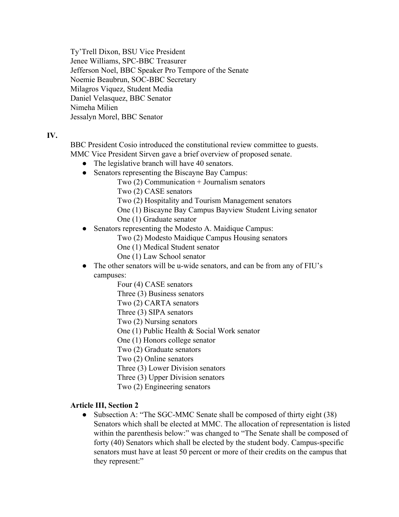Ty'Trell Dixon, BSU Vice President Jenee Williams, SPC-BBC Treasurer Jefferson Noel, BBC Speaker Pro Tempore of the Senate Noemie Beaubrun, SOC-BBC Secretary Milagros Viquez, Student Media Daniel Velasquez, BBC Senator Nimeha Milien Jessalyn Morel, BBC Senator

#### **IV.**

BBC President Cosio introduced the constitutional review committee to guests. MMC Vice President Sirven gave a brief overview of proposed senate.

- The legislative branch will have 40 senators.
- Senators representing the Biscayne Bay Campus:
	- Two (2) Communication + Journalism senators

Two (2) CASE senators

- Two (2) Hospitality and Tourism Management senators
- One (1) Biscayne Bay Campus Bayview Student Living senator
- One (1) Graduate senator
- Senators representing the Modesto A. Maidique Campus:
	- Two (2) Modesto Maidique Campus Housing senators
	- One (1) Medical Student senator
	- One (1) Law School senator
- The other senators will be u-wide senators, and can be from any of FIU's campuses:
	- Four (4) CASE senators
	- Three (3) Business senators
	- Two (2) CARTA senators
	- Three (3) SIPA senators
	- Two (2) Nursing senators
	- One (1) Public Health & Social Work senator
	- One (1) Honors college senator
	- Two (2) Graduate senators
	- Two (2) Online senators
	- Three (3) Lower Division senators
	- Three (3) Upper Division senators
	- Two (2) Engineering senators

### **Article III, Section 2**

Subsection A: "The SGC-MMC Senate shall be composed of thirty eight (38) Senators which shall be elected at MMC. The allocation of representation is listed within the parenthesis below:" was changed to "The Senate shall be composed of forty (40) Senators which shall be elected by the student body. Campus-specific senators must have at least 50 percent or more of their credits on the campus that they represent:"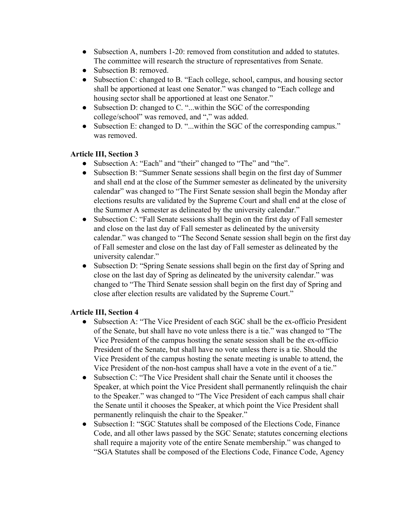- Subsection A, numbers 1-20: removed from constitution and added to statutes. The committee will research the structure of representatives from Senate.
- Subsection B: removed.
- Subsection C: changed to B. "Each college, school, campus, and housing sector shall be apportioned at least one Senator." was changed to "Each college and housing sector shall be apportioned at least one Senator."
- Subsection D: changed to C. "...within the SGC of the corresponding college/school" was removed, and "," was added.
- Subsection E: changed to D. "...within the SGC of the corresponding campus." was removed.

#### **Article III, Section 3**

- Subsection A: "Each" and "their" changed to "The" and "the".
- Subsection B: "Summer Senate sessions shall begin on the first day of Summer and shall end at the close of the Summer semester as delineated by the university calendar" was changed to "The First Senate session shall begin the Monday after elections results are validated by the Supreme Court and shall end at the close of the Summer A semester as delineated by the university calendar."
- Subsection C: "Fall Senate sessions shall begin on the first day of Fall semester and close on the last day of Fall semester as delineated by the university calendar." was changed to "The Second Senate session shall begin on the first day of Fall semester and close on the last day of Fall semester as delineated by the university calendar."
- Subsection D: "Spring Senate sessions shall begin on the first day of Spring and close on the last day of Spring as delineated by the university calendar." was changed to "The Third Senate session shall begin on the first day of Spring and close after election results are validated by the Supreme Court."

## **Article III, Section 4**

- Subsection A: "The Vice President of each SGC shall be the ex-officio President of the Senate, but shall have no vote unless there is a tie." was changed to "The Vice President of the campus hosting the senate session shall be the ex-officio President of the Senate, but shall have no vote unless there is a tie. Should the Vice President of the campus hosting the senate meeting is unable to attend, the Vice President of the non-host campus shall have a vote in the event of a tie."
- Subsection C: "The Vice President shall chair the Senate until it chooses the Speaker, at which point the Vice President shall permanently relinquish the chair to the Speaker." was changed to "The Vice President of each campus shall chair the Senate until it chooses the Speaker, at which point the Vice President shall permanently relinquish the chair to the Speaker."
- Subsection I: "SGC Statutes shall be composed of the Elections Code, Finance Code, and all other laws passed by the SGC Senate; statutes concerning elections shall require a majority vote of the entire Senate membership." was changed to "SGA Statutes shall be composed of the Elections Code, Finance Code, Agency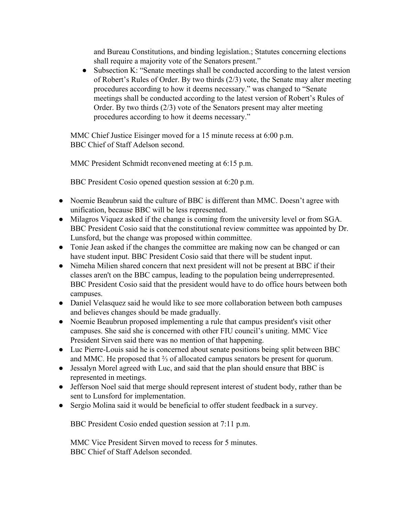and Bureau Constitutions, and binding legislation.; Statutes concerning elections shall require a majority vote of the Senators present."

● Subsection K: "Senate meetings shall be conducted according to the latest version of Robert's Rules of Order. By two thirds (2/3) vote, the Senate may alter meeting procedures according to how it deems necessary." was changed to "Senate meetings shall be conducted according to the latest version of Robert's Rules of Order. By two thirds (2/3) vote of the Senators present may alter meeting procedures according to how it deems necessary."

MMC Chief Justice Eisinger moved for a 15 minute recess at 6:00 p.m. BBC Chief of Staff Adelson second.

MMC President Schmidt reconvened meeting at 6:15 p.m.

BBC President Cosio opened question session at 6:20 p.m.

- Noemie Beaubrun said the culture of BBC is different than MMC. Doesn't agree with unification, because BBC will be less represented.
- Milagros Viquez asked if the change is coming from the university level or from SGA. BBC President Cosio said that the constitutional review committee was appointed by Dr. Lunsford, but the change was proposed within committee.
- Tonie Jean asked if the changes the committee are making now can be changed or can have student input. BBC President Cosio said that there will be student input.
- Nimeha Milien shared concern that next president will not be present at BBC if their classes aren't on the BBC campus, leading to the population being underrepresented. BBC President Cosio said that the president would have to do office hours between both campuses.
- Daniel Velasquez said he would like to see more collaboration between both campuses and believes changes should be made gradually.
- Noemie Beaubrun proposed implementing a rule that campus president's visit other campuses. She said she is concerned with other FIU council's uniting. MMC Vice President Sirven said there was no mention of that happening.
- Luc Pierre-Louis said he is concerned about senate positions being split between BBC and MMC. He proposed that ⅔ of allocated campus senators be present for quorum.
- Jessalyn Morel agreed with Luc, and said that the plan should ensure that BBC is represented in meetings.
- Jefferson Noel said that merge should represent interest of student body, rather than be sent to Lunsford for implementation.
- Sergio Molina said it would be beneficial to offer student feedback in a survey.

BBC President Cosio ended question session at 7:11 p.m.

MMC Vice President Sirven moved to recess for 5 minutes. BBC Chief of Staff Adelson seconded.